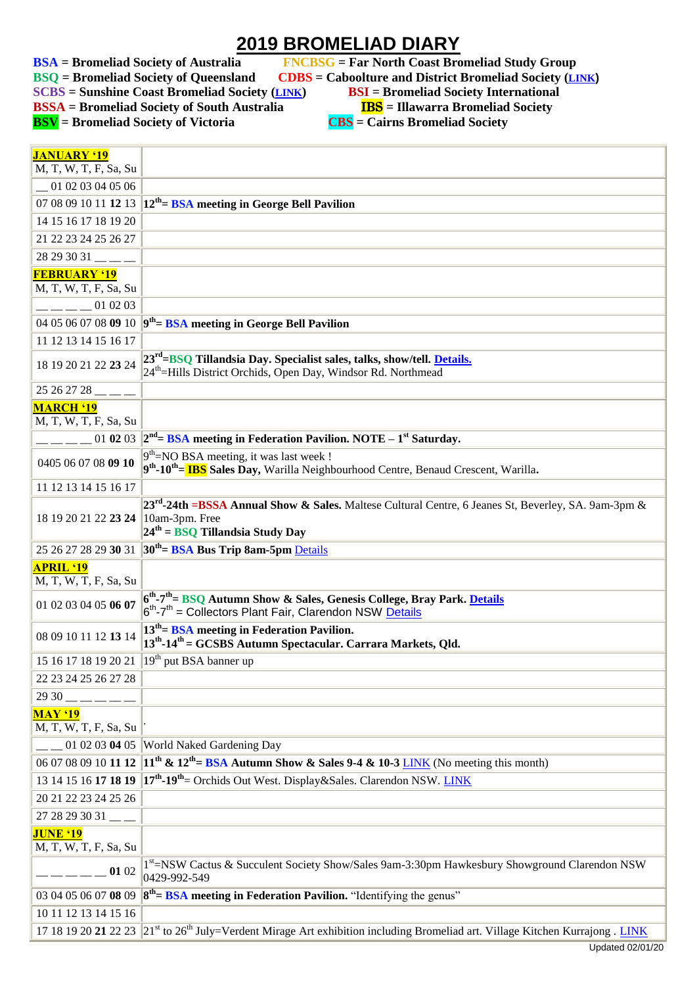## **2019 BROMELIAD DIARY**

**SCBS** = Sunshine Coast Bromeliad Society (*[LINK](http://scbs.org.au/?page_id=34)*)

**BSA** = Bromeliad Society of Australia FNCBSG = Far North Coast Bromeliad Study Group<br>BSQ = Bromeliad Society of Queensland CDBS = Caboolture and District Bromeliad Society (L)

**BSQ EXECUPES EXECUPES EXECUPES EXECUPES BSI = Bromeliad Society International** 

**BSSA** = Bromeliad Society of South Australia **IBS** = Illawarra Bromeliad Society

**BSV = Bromeliad Society of Victoria CBS = Cairns Bromeliad Society**

| <b>JANUARY '19</b>                        |                                                                                                                                                                                    |
|-------------------------------------------|------------------------------------------------------------------------------------------------------------------------------------------------------------------------------------|
| M, T, W, T, F, Sa, Su                     |                                                                                                                                                                                    |
| 01 02 03 04 05 06                         |                                                                                                                                                                                    |
|                                           | 07 08 09 10 11 12 13 $12^{th}$ BSA meeting in George Bell Pavilion                                                                                                                 |
| 14 15 16 17 18 19 20                      |                                                                                                                                                                                    |
| 21 22 23 24 25 26 27                      |                                                                                                                                                                                    |
| 28 29 30 31                               |                                                                                                                                                                                    |
| <b>FEBRUARY '19</b>                       |                                                                                                                                                                                    |
| M, T, W, T, F, Sa, Su                     |                                                                                                                                                                                    |
| $  -$ 01 02 03                            |                                                                                                                                                                                    |
|                                           | 04 05 06 07 08 09 10 $\mathbf{9}^{\text{th}}$ BSA meeting in George Bell Pavilion                                                                                                  |
| 11 12 13 14 15 16 17                      |                                                                                                                                                                                    |
| 18 19 20 21 22 23 24                      | 23 <sup>rd</sup> =BSQ Tillandsia Day. Specialist sales, talks, show/tell. Details.<br>24 <sup>th</sup> =Hills District Orchids, Open Day, Windsor Rd. Northmead                    |
| $25262728$ <sub>___</sub>                 |                                                                                                                                                                                    |
| <b>MARCH '19</b>                          |                                                                                                                                                                                    |
| M, T, W, T, F, Sa, Su                     |                                                                                                                                                                                    |
|                                           | $-$ _ _ _ _ 01 02 03 $ 2^{nd}$ = BSA meeting in Federation Pavilion. NOTE – 1 <sup>st</sup> Saturday.                                                                              |
| 0405 06 07 08 09 10                       | $9th=NO BSA meeting, it was last week!$<br>9 <sup>th</sup> -10 <sup>th</sup> = <b>IBS</b> Sales Day, Warilla Neighbourhood Centre, Benaud Crescent, Warilla.                       |
| 11 12 13 14 15 16 17                      |                                                                                                                                                                                    |
| 18 19 20 21 22 23 24 10am-3pm. Free       | 23 <sup>rd</sup> -24th =BSSA Annual Show & Sales. Maltese Cultural Centre, 6 Jeanes St, Beverley, SA. 9am-3pm &<br>$24th$ = BSQ Tillandsia Study Day                               |
|                                           | 25 26 27 28 29 30 31 30 <sup>th</sup> = BSA Bus Trip 8am-5pm Details                                                                                                               |
| <b>APRIL '19</b><br>M, T, W, T, F, Sa, Su |                                                                                                                                                                                    |
| 01 02 03 04 05 06 07                      | 6 <sup>th</sup> -7 <sup>th</sup> = BSQ Autumn Show & Sales, Genesis College, Bray Park. Details<br>6 <sup>th</sup> -7 <sup>th</sup> = Collectors Plant Fair, Clarendon NSW Details |
| 08 09 10 11 12 13 14                      | $13th$ BSA meeting in Federation Pavilion.<br>13 <sup>th</sup> -14 <sup>th</sup> = GCSBS Autumn Spectacular. Carrara Markets, Qld.                                                 |
|                                           | 15 16 17 18 19 20 21 19 <sup>th</sup> put BSA banner up                                                                                                                            |
| 22 23 24 25 26 27 28                      |                                                                                                                                                                                    |
| 29 30                                     |                                                                                                                                                                                    |
| <b>MAY '19</b><br>M, T, W, T, F, Sa, Su   |                                                                                                                                                                                    |
|                                           | 01 02 03 04 05 World Naked Gardening Day                                                                                                                                           |
| 06 07 08 09 10 11 12                      | $11th$ & $12th$ = BSA Autumn Show & Sales 9-4 & 10-3 <u>LINK</u> (No meeting this month)                                                                                           |
| 13 14 15 16 17 18 19                      | 17 <sup>th</sup> -19 <sup>th</sup> = Orchids Out West. Display&Sales. Clarendon NSW. LINK                                                                                          |
| 20 21 22 23 24 25 26                      |                                                                                                                                                                                    |
| $2728293031$ __                           |                                                                                                                                                                                    |
| <b>JUNE '19</b><br>M, T, W, T, F, Sa, Su  |                                                                                                                                                                                    |
| 01 02                                     | 1st=NSW Cactus & Succulent Society Show/Sales 9am-3:30pm Hawkesbury Showground Clarendon NSW<br>0429-992-549                                                                       |
| 03 04 05 06 07 08 09                      | $8th$ = BSA meeting in Federation Pavilion. "Identifying the genus"                                                                                                                |
| 10 11 12 13 14 15 16                      |                                                                                                                                                                                    |
|                                           | 17 18 19 20 21 22 23 $21^{st}$ to 26 <sup>th</sup> July=Verdent Mirage Art exhibition including Bromeliad art. Village Kitchen Kurrajong . LINK                                    |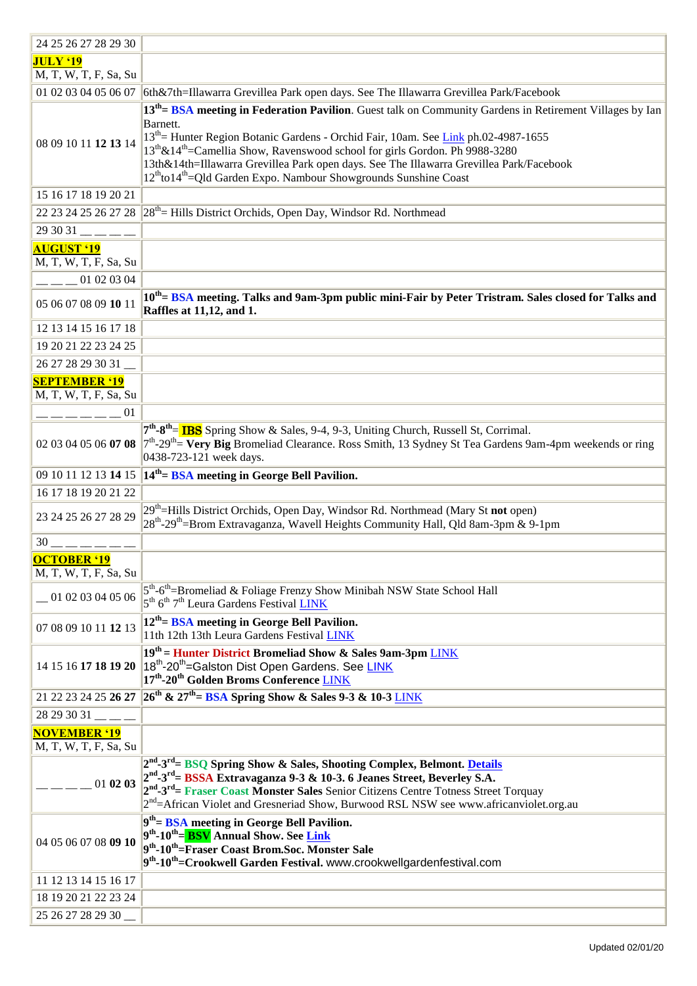| 24 25 26 27 28 29 30        |                                                                                                                                            |
|-----------------------------|--------------------------------------------------------------------------------------------------------------------------------------------|
| <b>JULY '19</b>             |                                                                                                                                            |
| M, T, W, T, F, Sa, Su       |                                                                                                                                            |
|                             | 01 02 03 04 05 06 07 6th&7th=Illawarra Grevillea Park open days. See The Illawarra Grevillea Park/Facebook                                 |
|                             | 13 <sup>th</sup> = BSA meeting in Federation Pavilion. Guest talk on Community Gardens in Retirement Villages by Ian                       |
|                             | Barnett.                                                                                                                                   |
|                             | 13 <sup>th</sup> = Hunter Region Botanic Gardens - Orchid Fair, 10am. See Link ph.02-4987-1655                                             |
| 08 09 10 11 12 13 14        | 13 <sup>th</sup> &14 <sup>th</sup> =Camellia Show, Ravenswood school for girls Gordon. Ph 9988-3280                                        |
|                             | 13th&14th=Illawarra Grevillea Park open days. See The Illawarra Grevillea Park/Facebook                                                    |
|                             | 12 <sup>th</sup> to14 <sup>th</sup> =Qld Garden Expo. Nambour Showgrounds Sunshine Coast                                                   |
| 15 16 17 18 19 20 21        |                                                                                                                                            |
|                             | 22 23 24 25 26 27 28 $ 28^{th}$ Hills District Orchids, Open Day, Windsor Rd. Northmead                                                    |
| $293031$ $\_\_$             |                                                                                                                                            |
| <b>AUGUST '19</b>           |                                                                                                                                            |
| M, T, W, T, F, Sa, Su       |                                                                                                                                            |
| $ -$ 01 02 03 04            |                                                                                                                                            |
|                             |                                                                                                                                            |
| 05 06 07 08 09 10 11        | 10 <sup>th</sup> BSA meeting. Talks and 9am-3pm public mini-Fair by Peter Tristram. Sales closed for Talks and<br>Raffles at 11,12, and 1. |
|                             |                                                                                                                                            |
| 12 13 14 15 16 17 18        |                                                                                                                                            |
| 19 20 21 22 23 24 25        |                                                                                                                                            |
| 26 27 28 29 30 31           |                                                                                                                                            |
| <b>SEPTEMBER '19</b>        |                                                                                                                                            |
| M, T, W, T, F, Sa, Su       |                                                                                                                                            |
| $--- 01$                    |                                                                                                                                            |
|                             | 7 <sup>th</sup> -8 <sup>th</sup> = IBS Spring Show & Sales, 9-4, 9-3, Uniting Church, Russell St, Corrimal.                                |
| 02 03 04 05 06 <b>07 08</b> | $7th$ -29 <sup>th</sup> = Very Big Bromeliad Clearance. Ross Smith, 13 Sydney St Tea Gardens 9am-4pm weekends or ring                      |
|                             | 0438-723-121 week days.                                                                                                                    |
|                             | 09 10 11 12 13 14 15 $14^{th}$ BSA meeting in George Bell Pavilion.                                                                        |
| 16 17 18 19 20 21 22        |                                                                                                                                            |
| 23 24 25 26 27 28 29        | 29 <sup>th</sup> =Hills District Orchids, Open Day, Windsor Rd. Northmead (Mary St not open)                                               |
|                             | 28 <sup>th</sup> -29 <sup>th</sup> =Brom Extravaganza, Wavell Heights Community Hall, Qld 8am-3pm & 9-1pm                                  |
| $30 - - - - - -$            |                                                                                                                                            |
| <b>OCTOBER '19</b>          |                                                                                                                                            |
| M, T, W, T, F, Sa, Su       |                                                                                                                                            |
|                             | 5 <sup>th</sup> -6 <sup>th</sup> =Bromeliad & Foliage Frenzy Show Minibah NSW State School Hall                                            |
| 01 02 03 04 05 06           | 5 <sup>th</sup> 6 <sup>th</sup> 7 <sup>th</sup> Leura Gardens Festival LINK                                                                |
| 07 08 09 10 11 12 13        | $12th$ = BSA meeting in George Bell Pavilion.                                                                                              |
|                             | 11th 12th 13th Leura Gardens Festival LINK                                                                                                 |
|                             | 19th = Hunter District Bromeliad Show & Sales 9am-3pm LINK                                                                                 |
| 14 15 16 17 18 19 20        | 18 <sup>th</sup> -20 <sup>th</sup> =Galston Dist Open Gardens. See LINK                                                                    |
|                             | 17 <sup>th</sup> -20 <sup>th</sup> Golden Broms Conference LINK                                                                            |
|                             | 21 22 23 24 25 26 27 26 <sup>th</sup> & 27 <sup>th</sup> = BSA Spring Show & Sales 9-3 & 10-3 LINK                                         |
| 28 29 30 31                 |                                                                                                                                            |
| <b>NOVEMBER '19</b>         |                                                                                                                                            |
| M, T, W, T, F, Sa, Su       |                                                                                                                                            |
|                             | 2 <sup>nd</sup> -3 <sup>rd</sup> = BSQ Spring Show & Sales, Shooting Complex, Belmont. Details                                             |
| 01 02 03                    | 2 <sup>nd</sup> -3 <sup>rd</sup> = BSSA Extravaganza 9-3 & 10-3. 6 Jeanes Street, Beverley S.A.                                            |
|                             | 2 <sup>nd</sup> -3 <sup>rd</sup> = Fraser Coast Monster Sales Senior Citizens Centre Totness Street Torquay                                |
|                             | 2 <sup>nd</sup> =African Violet and Gresneriad Show, Burwood RSL NSW see www.africanviolet.org.au                                          |
|                             | $9th$ BSA meeting in George Bell Pavilion.                                                                                                 |
| 04 05 06 07 08 09 10        | 9 <sup>th</sup> -10 <sup>th</sup> = <b>BSV</b> Annual Show. See Link<br>9th-10th=Fraser Coast Brom.Soc. Monster Sale                       |
|                             | 9 <sup>th</sup> -10 <sup>th</sup> =Crookwell Garden Festival. www.crookwellgardenfestival.com                                              |
| 11 12 13 14 15 16 17        |                                                                                                                                            |
|                             |                                                                                                                                            |
| 18 19 20 21 22 23 24        |                                                                                                                                            |
| 25 26 27 28 29 30           |                                                                                                                                            |